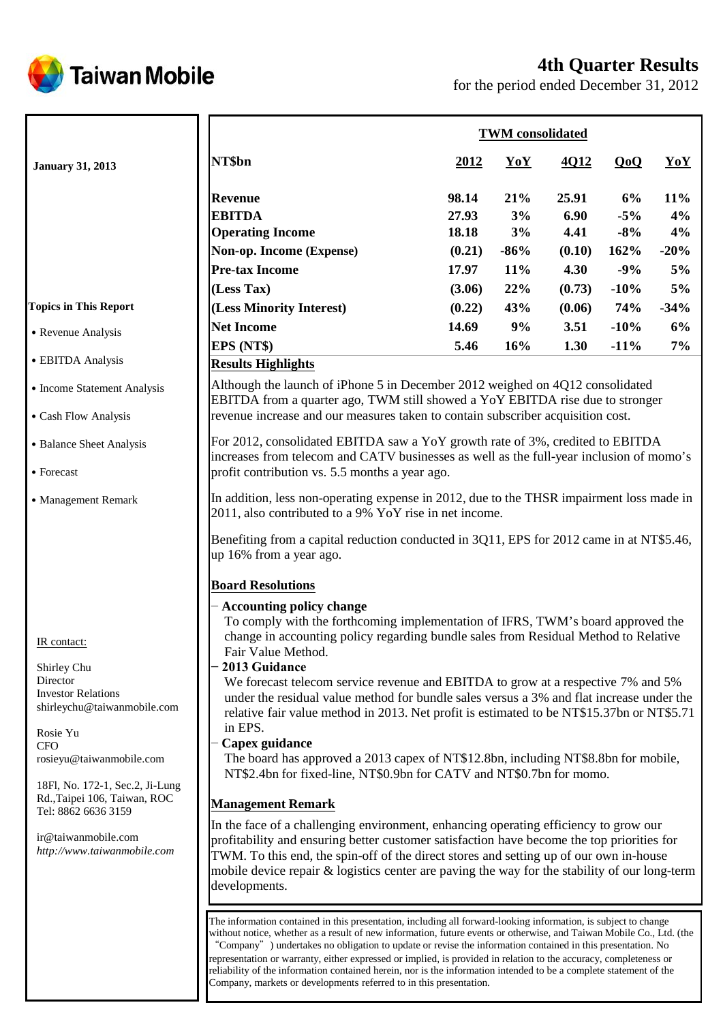

# **4th Quarter Results**

for the period ended December 31, 2012

|                                                                 | <b>TWM</b> consolidated                                                                                                                                                                                                                                                                                                                                                                                                                                                    |             |        |             |         |        |
|-----------------------------------------------------------------|----------------------------------------------------------------------------------------------------------------------------------------------------------------------------------------------------------------------------------------------------------------------------------------------------------------------------------------------------------------------------------------------------------------------------------------------------------------------------|-------------|--------|-------------|---------|--------|
| <b>January 31, 2013</b>                                         | NT\$bn                                                                                                                                                                                                                                                                                                                                                                                                                                                                     | <u>2012</u> | YoY    | <u>4012</u> | QoQ     | YoY    |
|                                                                 | <b>Revenue</b>                                                                                                                                                                                                                                                                                                                                                                                                                                                             | 98.14       | 21%    | 25.91       | 6%      | 11%    |
|                                                                 | <b>EBITDA</b>                                                                                                                                                                                                                                                                                                                                                                                                                                                              | 27.93       | 3%     | 6.90        | $-5\%$  | 4%     |
|                                                                 | <b>Operating Income</b>                                                                                                                                                                                                                                                                                                                                                                                                                                                    | 18.18       | 3%     | 4.41        | $-8\%$  | 4%     |
|                                                                 | Non-op. Income (Expense)                                                                                                                                                                                                                                                                                                                                                                                                                                                   | (0.21)      | $-86%$ | (0.10)      | 162%    | $-20%$ |
|                                                                 | <b>Pre-tax Income</b>                                                                                                                                                                                                                                                                                                                                                                                                                                                      | 17.97       | 11%    | 4.30        | $-9%$   | $5\%$  |
|                                                                 | (Less Tax)                                                                                                                                                                                                                                                                                                                                                                                                                                                                 | (3.06)      | 22%    | (0.73)      | $-10\%$ | $5\%$  |
| <b>Topics in This Report</b>                                    | (Less Minority Interest)                                                                                                                                                                                                                                                                                                                                                                                                                                                   | (0.22)      | 43%    | (0.06)      | 74%     | $-34%$ |
|                                                                 | <b>Net Income</b>                                                                                                                                                                                                                                                                                                                                                                                                                                                          | 14.69       | 9%     | 3.51        | $-10%$  | 6%     |
| • Revenue Analysis                                              | EPS (NT\$)                                                                                                                                                                                                                                                                                                                                                                                                                                                                 | 5.46        | 16%    | 1.30        | $-11\%$ | 7%     |
| • EBITDA Analysis                                               | <b>Results Highlights</b>                                                                                                                                                                                                                                                                                                                                                                                                                                                  |             |        |             |         |        |
| • Income Statement Analysis                                     | Although the launch of iPhone 5 in December 2012 weighed on 4Q12 consolidated<br>EBITDA from a quarter ago, TWM still showed a YoY EBITDA rise due to stronger                                                                                                                                                                                                                                                                                                             |             |        |             |         |        |
| • Cash Flow Analysis                                            | revenue increase and our measures taken to contain subscriber acquisition cost.                                                                                                                                                                                                                                                                                                                                                                                            |             |        |             |         |        |
| • Balance Sheet Analysis                                        | For 2012, consolidated EBITDA saw a YoY growth rate of 3%, credited to EBITDA<br>increases from telecom and CATV businesses as well as the full-year inclusion of momo's                                                                                                                                                                                                                                                                                                   |             |        |             |         |        |
| • Forecast                                                      | profit contribution vs. 5.5 months a year ago.                                                                                                                                                                                                                                                                                                                                                                                                                             |             |        |             |         |        |
| • Management Remark                                             | In addition, less non-operating expense in 2012, due to the THSR impairment loss made in<br>2011, also contributed to a 9% YoY rise in net income.                                                                                                                                                                                                                                                                                                                         |             |        |             |         |        |
|                                                                 | Benefiting from a capital reduction conducted in 3Q11, EPS for 2012 came in at NT\$5.46,<br>up 16% from a year ago.                                                                                                                                                                                                                                                                                                                                                        |             |        |             |         |        |
|                                                                 | <b>Board Resolutions</b>                                                                                                                                                                                                                                                                                                                                                                                                                                                   |             |        |             |         |        |
|                                                                 | - Accounting policy change                                                                                                                                                                                                                                                                                                                                                                                                                                                 |             |        |             |         |        |
| IR contact:                                                     | To comply with the forthcoming implementation of IFRS, TWM's board approved the<br>change in accounting policy regarding bundle sales from Residual Method to Relative                                                                                                                                                                                                                                                                                                     |             |        |             |         |        |
|                                                                 | Fair Value Method.<br>2013 Guidance                                                                                                                                                                                                                                                                                                                                                                                                                                        |             |        |             |         |        |
| Shirley Chu<br>Director                                         | We forecast telecom service revenue and EBITDA to grow at a respective 7% and 5%                                                                                                                                                                                                                                                                                                                                                                                           |             |        |             |         |        |
| <b>Investor Relations</b>                                       | under the residual value method for bundle sales versus a 3% and flat increase under the                                                                                                                                                                                                                                                                                                                                                                                   |             |        |             |         |        |
| shirleychu@taiwanmobile.com                                     | relative fair value method in 2013. Net profit is estimated to be NT\$15.37bn or NT\$5.71                                                                                                                                                                                                                                                                                                                                                                                  |             |        |             |         |        |
| Rosie Yu                                                        | in EPS.                                                                                                                                                                                                                                                                                                                                                                                                                                                                    |             |        |             |         |        |
| <b>CFO</b><br>rosieyu@taiwanmobile.com                          | <b>Capex guidance</b><br>The board has approved a 2013 capex of NT\$12.8bn, including NT\$8.8bn for mobile,<br>NT\$2.4bn for fixed-line, NT\$0.9bn for CATV and NT\$0.7bn for momo.                                                                                                                                                                                                                                                                                        |             |        |             |         |        |
| 18Fl, No. 172-1, Sec.2, Ji-Lung<br>Rd., Taipei 106, Taiwan, ROC | <b>Management Remark</b>                                                                                                                                                                                                                                                                                                                                                                                                                                                   |             |        |             |         |        |
| Tel: 8862 6636 3159                                             | In the face of a challenging environment, enhancing operating efficiency to grow our                                                                                                                                                                                                                                                                                                                                                                                       |             |        |             |         |        |
| ir@taiwanmobile.com<br>http://www.taiwanmobile.com              | profitability and ensuring better customer satisfaction have become the top priorities for<br>TWM. To this end, the spin-off of the direct stores and setting up of our own in-house<br>mobile device repair & logistics center are paving the way for the stability of our long-term<br>developments.                                                                                                                                                                     |             |        |             |         |        |
|                                                                 |                                                                                                                                                                                                                                                                                                                                                                                                                                                                            |             |        |             |         |        |
|                                                                 | The information contained in this presentation, including all forward-looking information, is subject to change<br>without notice, whether as a result of new information, future events or otherwise, and Taiwan Mobile Co., Ltd. (the<br>"Company") undertakes no obligation to update or revise the information contained in this presentation. No<br>representation or warranty, either expressed or implied, is provided in relation to the accuracy, completeness or |             |        |             |         |        |

reliability of the information contained herein, nor is the information intended to be a complete statement of the

Company, markets or developments referred to in this presentation.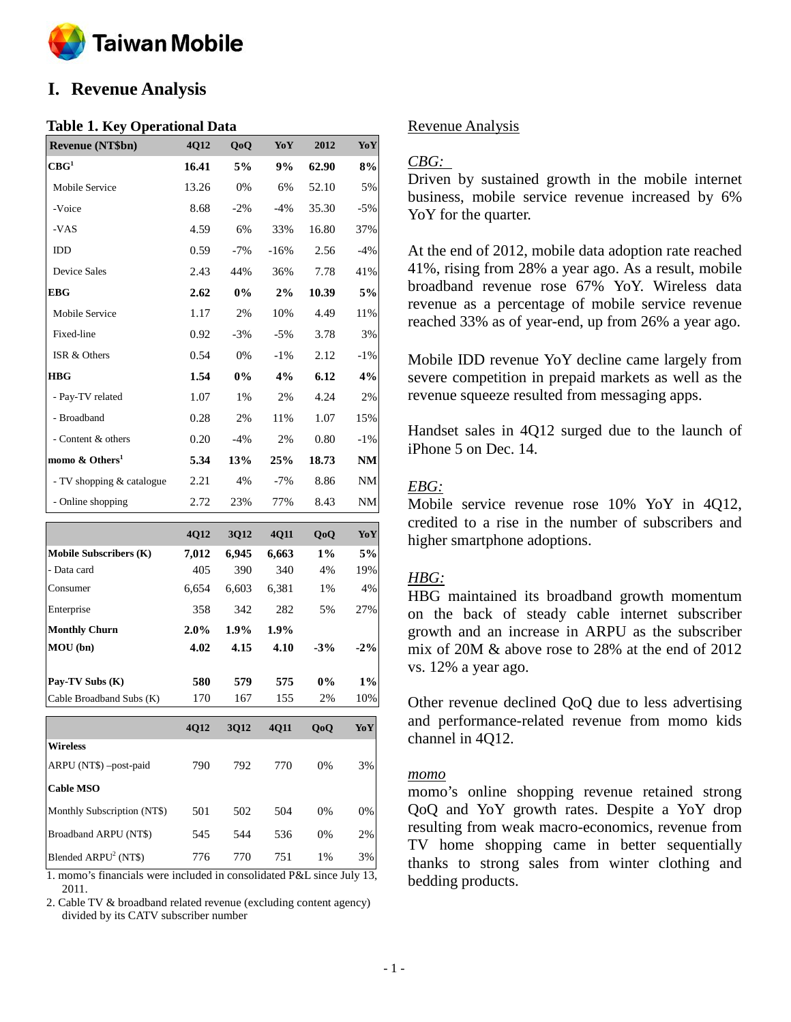

# **I. Revenue Analysis**

#### **Table 1. Key Operational Data**

| <b>Revenue (NT\$bn)</b>    | 4Q12  | QoQ    | YoY    | 2012  | YoY    |
|----------------------------|-------|--------|--------|-------|--------|
| $\mathbf{CBG}^1$           | 16.41 | 5%     | 9%     | 62.90 | 8%     |
| Mobile Service             | 13.26 | 0%     | 6%     | 52.10 | 5%     |
| -Voice                     | 8.68  | $-2\%$ | $-4\%$ | 35.30 | $-5%$  |
| -VAS                       | 4.59  | 6%     | 33%    | 16.80 | 37%    |
| <b>IDD</b>                 | 0.59  | $-7%$  | $-16%$ | 2.56  | $-4%$  |
| <b>Device Sales</b>        | 2.43  | 44%    | 36%    | 7.78  | 41%    |
| <b>EBG</b>                 | 2.62  | $0\%$  | 2%     | 10.39 | 5%     |
| <b>Mobile Service</b>      | 1.17  | 2%     | 10%    | 4.49  | 11%    |
| Fixed-line                 | 0.92  | $-3%$  | $-5\%$ | 3.78  | 3%     |
| ISR & Others               | 0.54  | 0%     | $-1\%$ | 2.12  | -1%    |
| <b>HBG</b>                 | 1.54  | $0\%$  | 4%     | 6.12  | 4%     |
| - Pay-TV related           | 1.07  | 1%     | 2%     | 4.24  | 2%     |
| - Broadband                | 0.28  | 2%     | 11%    | 1.07  | 15%    |
| - Content & others         | 0.20  | $-4%$  | 2%     | 0.80  | $-1\%$ |
| momo & Others <sup>1</sup> | 5.34  | 13%    | 25%    | 18.73 | NM     |
| - TV shopping & catalogue  | 2.21  | 4%     | $-7\%$ | 8.86  | NM     |
| - Online shopping          | 2.72  | 23%    | 77%    | 8.43  | NM     |

|                               | 4Q12  | 3Q12  | 4Q11  | QoQ   | YoY    |
|-------------------------------|-------|-------|-------|-------|--------|
| <b>Mobile Subscribers (K)</b> | 7,012 | 6,945 | 6,663 | $1\%$ | 5%     |
| - Data card                   | 405   | 390   | 340   | 4%    | 19%    |
| Consumer                      | 6,654 | 6,603 | 6,381 | 1%    | 4%     |
| Enterprise                    | 358   | 342   | 282   | 5%    | 27%    |
| <b>Monthly Churn</b>          | 2.0%  | 1.9%  | 1.9%  |       |        |
| MOU (bn)                      | 4.02  | 4.15  | 4.10  | $-3%$ | $-2\%$ |
| Pay-TV Subs (K)               | 580   | 579   | 575   | $0\%$ | 1%     |
| Cable Broadband Subs (K)      | 170   | 167   | 155   | 2%    | 10%    |
|                               | 4Q12  | 3Q12  | 4Q11  | QoQ   | YoY    |
| <b>Wireless</b>               |       |       |       |       |        |
| ARPU (NT\$) -post-paid        | 790   | 792   | 770   | 0%    | 3%     |
| <b>Cable MSO</b>              |       |       |       |       |        |
| Monthly Subscription (NT\$)   | 501   | 502   | 504   | 0%    | 0%     |
| Broadband ARPU (NT\$)         | 545   | 544   | 536   | 0%    | 2%     |
| Blended $ARPU2 (NT$)$         | 776   | 770   | 751   | 1%    | 3%     |

1. momo's financials were included in consolidated P&L since July 13, 2011.

2. Cable TV & broadband related revenue (excluding content agency) divided by its CATV subscriber number

### Revenue Analysis

# *CBG:*

Driven by sustained growth in the mobile internet business, mobile service revenue increased by 6% YoY for the quarter.

At the end of 2012, mobile data adoption rate reached 41%, rising from 28% a year ago. As a result, mobile broadband revenue rose 67% YoY. Wireless data revenue as a percentage of mobile service revenue reached 33% as of year-end, up from 26% a year ago.

Mobile IDD revenue YoY decline came largely from severe competition in prepaid markets as well as the revenue squeeze resulted from messaging apps.

Handset sales in 4Q12 surged due to the launch of iPhone 5 on Dec. 14.

# *EBG:*

Mobile service revenue rose 10% YoY in 4Q12, credited to a rise in the number of subscribers and higher smartphone adoptions.

# *HBG:*

HBG maintained its broadband growth momentum on the back of steady cable internet subscriber growth and an increase in ARPU as the subscriber mix of 20M & above rose to 28% at the end of 2012 vs. 12% a year ago.

Other revenue declined QoQ due to less advertising and performance-related revenue from momo kids channel in 4Q12.

#### *momo*

momo's online shopping revenue retained strong QoQ and YoY growth rates. Despite a YoY drop resulting from weak macro-economics, revenue from TV home shopping came in better sequentially thanks to strong sales from winter clothing and bedding products.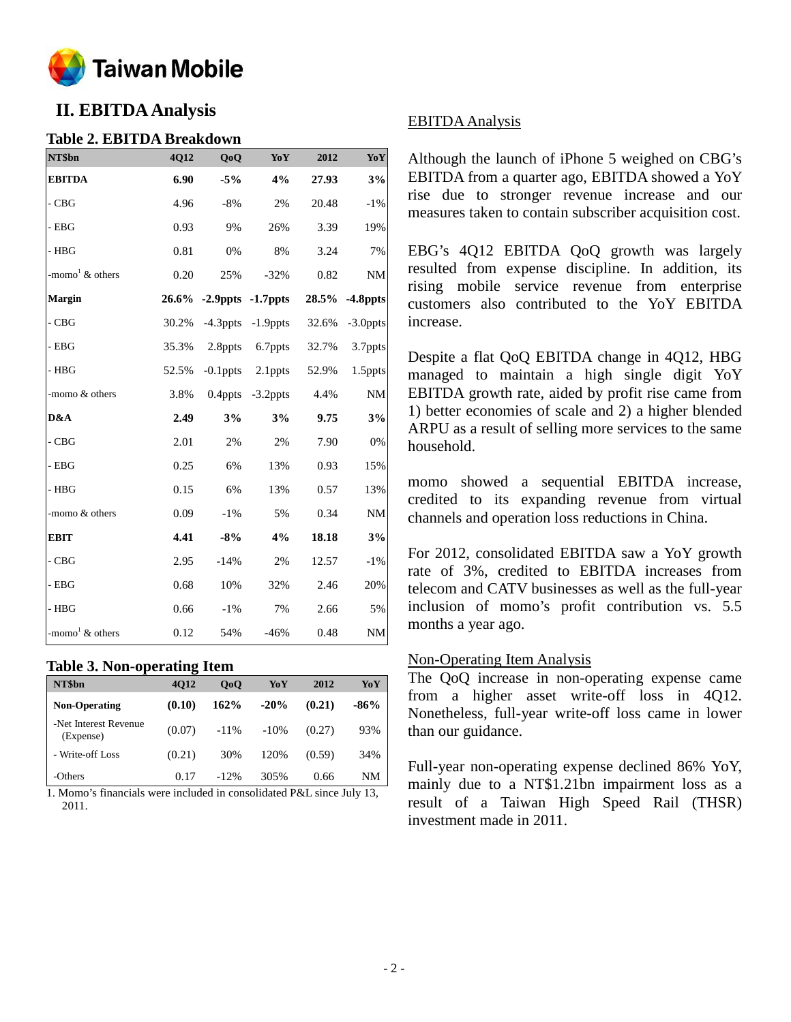

# **II. EBITDAAnalysis**

### **Table 2. EBITDA Breakdown**

| NT\$bn                            | 4Q12  | QoQ         | Yo Y                    | 2012  | YoY         |
|-----------------------------------|-------|-------------|-------------------------|-------|-------------|
| <b>EBITDA</b>                     | 6.90  | $-5%$       | 4%                      | 27.93 | 3%          |
| $\mathbf{-C}\mathbf{B}\mathbf{G}$ | 4.96  | $-8%$       | 2%                      | 20.48 | $-1%$       |
| $-$ EBG                           | 0.93  | 9%          | 26%                     | 3.39  | 19%         |
| $-$ HBG                           | 0.81  | 0%          | 8%                      | 3.24  | $7\%$       |
| -momo <sup>1</sup> & others       | 0.20  | 25%         | $-32%$                  | 0.82  | NM          |
| Margin                            |       |             | 26.6% -2.9ppts -1.7ppts | 28.5% | $-4.8$ ppts |
| $-CBG$                            | 30.2% | $-4.3$ ppts | $-1.9$ ppts             | 32.6% | -3.0ppts    |
| $-$ EBG                           | 35.3% | 2.8ppts     | 6.7ppts                 | 32.7% | 3.7ppts     |
| $-$ HBG                           | 52.5% | $-0.1$ ppts | 2.1ppts                 | 52.9% | 1.5ppts     |
| -momo & others                    | 3.8%  | $0.4$ ppts  | $-3.2$ ppts             | 4.4%  | <b>NM</b>   |
| D&A                               | 2.49  | 3%          | 3%                      | 9.75  | 3%          |
| $-CBG$                            | 2.01  | 2%          | 2%                      | 7.90  | 0%          |
| $-$ EBG                           | 0.25  | 6%          | 13%                     | 0.93  | 15%         |
| $-$ HBG                           | 0.15  | 6%          | 13%                     | 0.57  | 13%         |
| -momo & others                    | 0.09  | $-1\%$      | 5%                      | 0.34  | $\rm{NM}$   |
| <b>EBIT</b>                       | 4.41  | $-8%$       | 4%                      | 18.18 | 3%          |
| $-CBG$                            | 2.95  | $-14%$      | 2%                      | 12.57 | $-1\%$      |
| $-$ EBG                           | 0.68  | 10%         | 32%                     | 2.46  | 20%         |
| $-$ HBG                           | 0.66  | $-1\%$      | 7%                      | 2.66  | 5%          |
| -momo <sup>1</sup> $\&$ others    | 0.12  | 54%         | $-46%$                  | 0.48  | $\rm{NM}$   |

#### **Table 3. Non-operating Item**

| NT\$bn                             | <b>4012</b> | 0 <sub>0</sub> | YoY     | 2012   | YoY    |
|------------------------------------|-------------|----------------|---------|--------|--------|
| <b>Non-Operating</b>               | (0.10)      | 162%           | $-20%$  | (0.21) | $-86%$ |
| -Net Interest Revenue<br>(Expense) | (0.07)      | $-11\%$        | $-10\%$ | (0.27) | 93%    |
| - Write-off Loss                   | (0.21)      | 30%            | 120%    | (0.59) | 34%    |
| -Others                            | 0.17        | $-12\%$        | 305%    | 0.66   | NΜ     |

1. Momo's financials were included in consolidated P&L since July 13, 2011.

# EBITDA Analysis

Although the launch of iPhone 5 weighed on CBG's EBITDA from a quarter ago, EBITDA showed a YoY rise due to stronger revenue increase and our measures taken to contain subscriber acquisition cost.

EBG's 4Q12 EBITDA QoQ growth was largely resulted from expense [discipline.](http://tw.rd.yahoo.com/_ylt=A3eg.822xvNQtB4AZYLhbB4J/SIG=12s0bnjv0/EXP=1358182198/**http%3a/tw.dictionary.yahoo.com/dictionary%3fp=discipline%26docid=1028560) In addition, its rising mobile service revenue from enterprise customers also contributed to the YoY EBITDA increase.

Despite a flat QoQ EBITDA change in 4Q12, HBG managed to maintain a high single digit YoY EBITDA growth rate, aided by profit rise came from 1) better economies of scale and 2) a higher blended ARPU as a result of selling more services to the same household.

momo showed a sequential EBITDA increase, credited to its expanding revenue from virtual channels and operation loss reductions in China.

For 2012, consolidated EBITDA saw a YoY growth rate of 3%, credited to EBITDA increases from telecom and CATV businesses as well as the full-year inclusion of momo's profit contribution vs. 5.5 months a year ago.

# Non-Operating Item Analysis

The QoQ increase in non-operating expense came from a higher asset write-off loss in 4Q12. Nonetheless, full-year write-off loss came in lower than our guidance.

Full-year non-operating expense declined 86% YoY, mainly due to a NT\$1.21bn impairment loss as a result of a Taiwan High Speed Rail (THSR) investment made in 2011.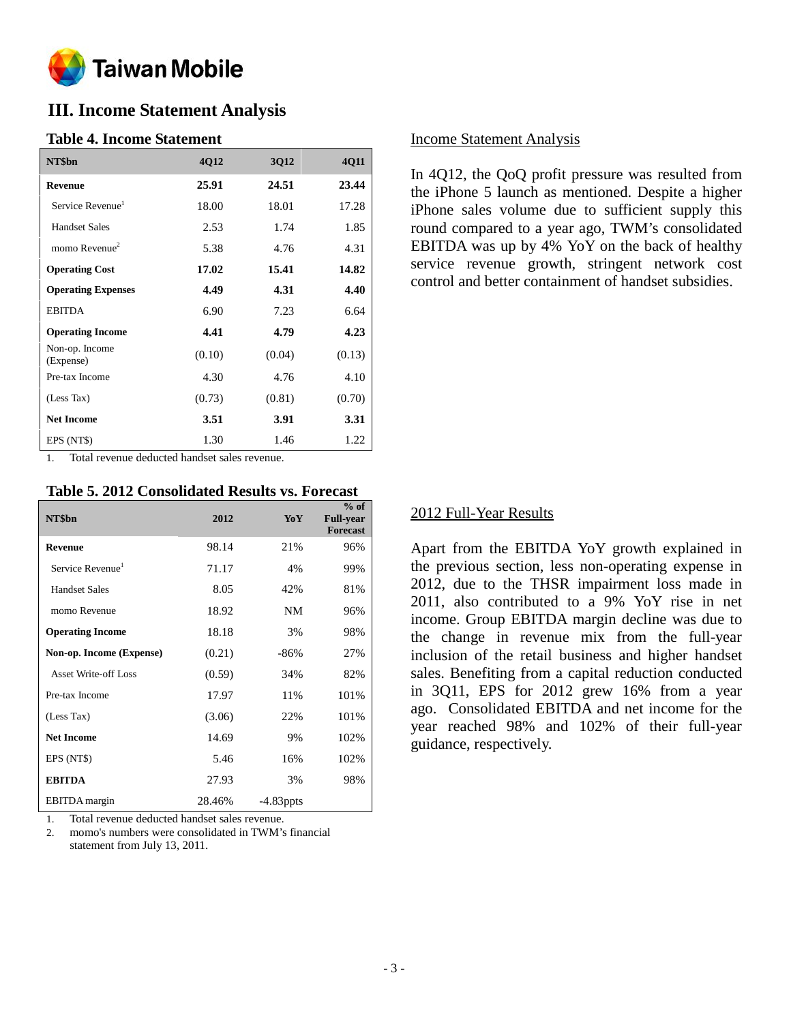

# **III. Income Statement Analysis**

#### **Table 4. Income Statement**

| NT\$bn                       | 4Q12   | 3Q12   | 4Q11   |
|------------------------------|--------|--------|--------|
| <b>Revenue</b>               | 25.91  | 24.51  | 23.44  |
| Service Revenue <sup>1</sup> | 18.00  | 18.01  | 17.28  |
| <b>Handset Sales</b>         | 2.53   | 1.74   | 1.85   |
| momo Revenue $2$             | 5.38   | 4.76   | 4.31   |
| <b>Operating Cost</b>        | 17.02  | 15.41  | 14.82  |
| <b>Operating Expenses</b>    | 4.49   | 4.31   | 4.40   |
| <b>EBITDA</b>                | 6.90   | 7.23   | 6.64   |
| <b>Operating Income</b>      | 4.41   | 4.79   | 4.23   |
| Non-op. Income<br>(Expense)  | (0.10) | (0.04) | (0.13) |
| Pre-tax Income               | 4.30   | 4.76   | 4.10   |
| (Less Tax)                   | (0.73) | (0.81) | (0.70) |
| <b>Net Income</b>            | 3.51   | 3.91   | 3.31   |
| EPS (NT\$)                   | 1.30   | 1.46   | 1.22   |

1. Total revenue deducted handset sales revenue.

#### **Table 5. 2012 Consolidated Results vs. Forecast**

|                              |        |              | $%$ of                              |
|------------------------------|--------|--------------|-------------------------------------|
| NT\$bn                       | 2012   | YoY          | <b>Full-year</b><br><b>Forecast</b> |
| <b>Revenue</b>               | 98.14  | 21%          | 96%                                 |
| Service Revenue <sup>1</sup> | 71.17  | 4%           | 99%                                 |
| <b>Handset Sales</b>         | 8.05   | 42%          | 81%                                 |
| momo Revenue                 | 18.92  | NM           | 96%                                 |
| <b>Operating Income</b>      | 18.18  | 3%           | 98%                                 |
| Non-op. Income (Expense)     | (0.21) | $-86%$       | 27%                                 |
| <b>Asset Write-off Loss</b>  | (0.59) | 34%          | 82%                                 |
| Pre-tax Income               | 17.97  | 11%          | 101%                                |
| (Less Tax)                   | (3.06) | 22%          | 101%                                |
| <b>Net Income</b>            | 14.69  | 9%           | 102%                                |
| EPS (NT\$)                   | 5.46   | 16%          | 102%                                |
| <b>EBITDA</b>                | 27.93  | 3%           | 98%                                 |
| <b>EBITDA</b> margin         | 28.46% | $-4.83$ ppts |                                     |

1. Total revenue deducted handset sales revenue.

2. momo's numbers were consolidated in TWM's financial statement from July 13, 2011.

#### Income Statement Analysis

In 4Q12, the QoQ profit pressure was resulted from the iPhone 5 launch as mentioned. Despite a higher iPhone sales volume due to sufficient supply this round compared to a year ago, TWM's consolidated EBITDA was up by 4% YoY on the back of healthy service revenue growth, stringent network cost control and better containment of handset subsidies.

#### 2012 Full-Year Results

Apart from the EBITDA YoY growth explained in the previous section, less non-operating expense in 2012, due to the THSR impairment loss made in 2011, also contributed to a 9% YoY rise in net income. Group EBITDA margin decline was due to the change in revenue mix from the full-year inclusion of the retail business and higher handset sales. Benefiting from a capital reduction conducted in 3Q11, EPS for 2012 grew 16% from a year ago. Consolidated EBITDA and net income for the year reached 98% and 102% of their full-year guidance, respectively.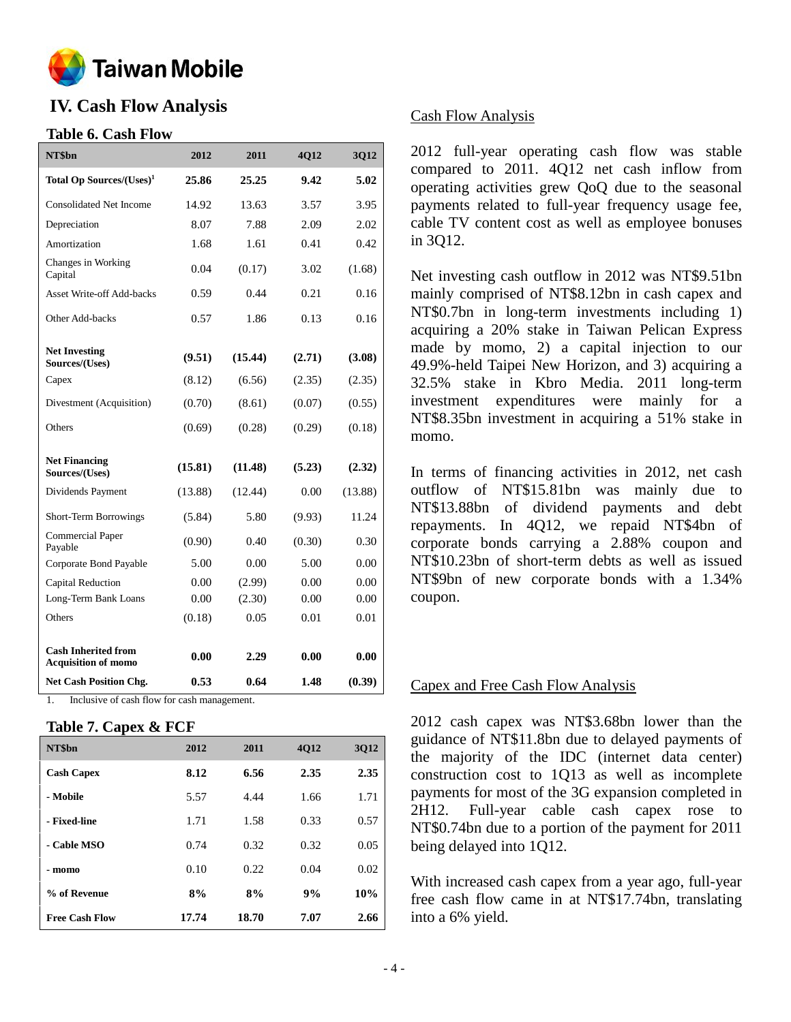

# **IV. Cash Flow Analysis**

# **Table 6. Cash Flow**

| NT\$bn                                                   | 2012    | 2011    | 4Q12   | 3Q12    |
|----------------------------------------------------------|---------|---------|--------|---------|
| Total Op Sources/(Uses) <sup>1</sup>                     | 25.86   | 25.25   | 9.42   | 5.02    |
| <b>Consolidated Net Income</b>                           | 14.92   | 13.63   | 3.57   | 3.95    |
| Depreciation                                             | 8.07    | 7.88    | 2.09   | 2.02    |
| Amortization                                             | 1.68    | 1.61    | 0.41   | 0.42    |
| Changes in Working<br>Capital                            | 0.04    | (0.17)  | 3.02   | (1.68)  |
| Asset Write-off Add-backs                                | 0.59    | 0.44    | 0.21   | 0.16    |
| Other Add-backs                                          | 0.57    | 1.86    | 0.13   | 0.16    |
| <b>Net Investing</b><br>Sources/(Uses)                   | (9.51)  | (15.44) | (2.71) | (3.08)  |
| Capex                                                    | (8.12)  | (6.56)  | (2.35) | (2.35)  |
| Divestment (Acquisition)                                 | (0.70)  | (8.61)  | (0.07) | (0.55)  |
| Others                                                   | (0.69)  | (0.28)  | (0.29) | (0.18)  |
| <b>Net Financing</b><br>Sources/(Uses)                   | (15.81) | (11.48) | (5.23) | (2.32)  |
| Dividends Payment                                        | (13.88) | (12.44) | 0.00   | (13.88) |
| Short-Term Borrowings                                    | (5.84)  | 5.80    | (9.93) | 11.24   |
| <b>Commercial Paper</b><br>Payable                       | (0.90)  | 0.40    | (0.30) | 0.30    |
| Corporate Bond Payable                                   | 5.00    | 0.00    | 5.00   | 0.00    |
| Capital Reduction                                        | 0.00    | (2.99)  | 0.00   | 0.00    |
| Long-Term Bank Loans                                     | 0.00    | (2.30)  | 0.00   | 0.00    |
| Others                                                   | (0.18)  | 0.05    | 0.01   | 0.01    |
| <b>Cash Inherited from</b><br><b>Acquisition of momo</b> | 0.00    | 2.29    | 0.00   | 0.00    |
| <b>Net Cash Position Chg.</b>                            | 0.53    | 0.64    | 1.48   | (0.39)  |

1. Inclusive of cash flow for cash management.

#### **Table 7. Capex & FCF**

| NT\$bn                | 2012  | 2011  | <b>4012</b> | <b>3Q12</b> |
|-----------------------|-------|-------|-------------|-------------|
| <b>Cash Capex</b>     | 8.12  | 6.56  | 2.35        | 2.35        |
| - Mobile              | 5.57  | 4.44  | 1.66        | 1.71        |
| - Fixed-line          | 1.71  | 1.58  | 0.33        | 0.57        |
| - Cable MSO           | 0.74  | 0.32  | 0.32        | 0.05        |
| - momo                | 0.10  | 0.22  | 0.04        | 0.02        |
| % of Revenue          | 8%    | 8%    | 9%          | 10%         |
| <b>Free Cash Flow</b> | 17.74 | 18.70 | 7.07        | 2.66        |

## Cash Flow Analysis

2012 full-year operating cash flow was stable compared to 2011. 4Q12 net cash inflow from operating activities grew QoQ due to the seasonal payments related to full-year frequency usage fee, cable TV content cost as well as employee bonuses in 3Q12.

Net investing cash outflow in 2012 was NT\$9.51bn mainly comprised of NT\$8.12bn in cash capex and NT\$0.7bn in long-term investments including 1) acquiring a 20% stake in Taiwan Pelican Express made by momo, 2) a capital injection to our 49.9%-held Taipei New Horizon, and 3) acquiring a 32.5% stake in Kbro Media. 2011 long-term investment expenditures were mainly for a NT\$8.35bn investment in acquiring a 51% stake in momo.

In terms of financing activities in 2012, net cash outflow of NT\$15.81bn was mainly due to NT\$13.88bn of dividend payments and debt repayments. In 4Q12, we repaid NT\$4bn of corporate bonds carrying a 2.88% coupon and NT\$10.23bn of short-term debts as well as issued NT\$9bn of new corporate bonds with a 1.34% coupon.

#### Capex and Free Cash Flow Analysis

2012 cash capex was NT\$3.68bn lower than the guidance of NT\$11.8bn due to delayed payments of the majority of the IDC (internet data center) construction cost to 1Q13 as well as incomplete payments for most of the 3G expansion completed in 2H12. Full-year cable cash capex rose to NT\$0.74bn due to a portion of the payment for 2011 being delayed into 1Q12.

With increased cash capex from a year ago, full-year free cash flow came in at NT\$17.74bn, translating into a 6% yield.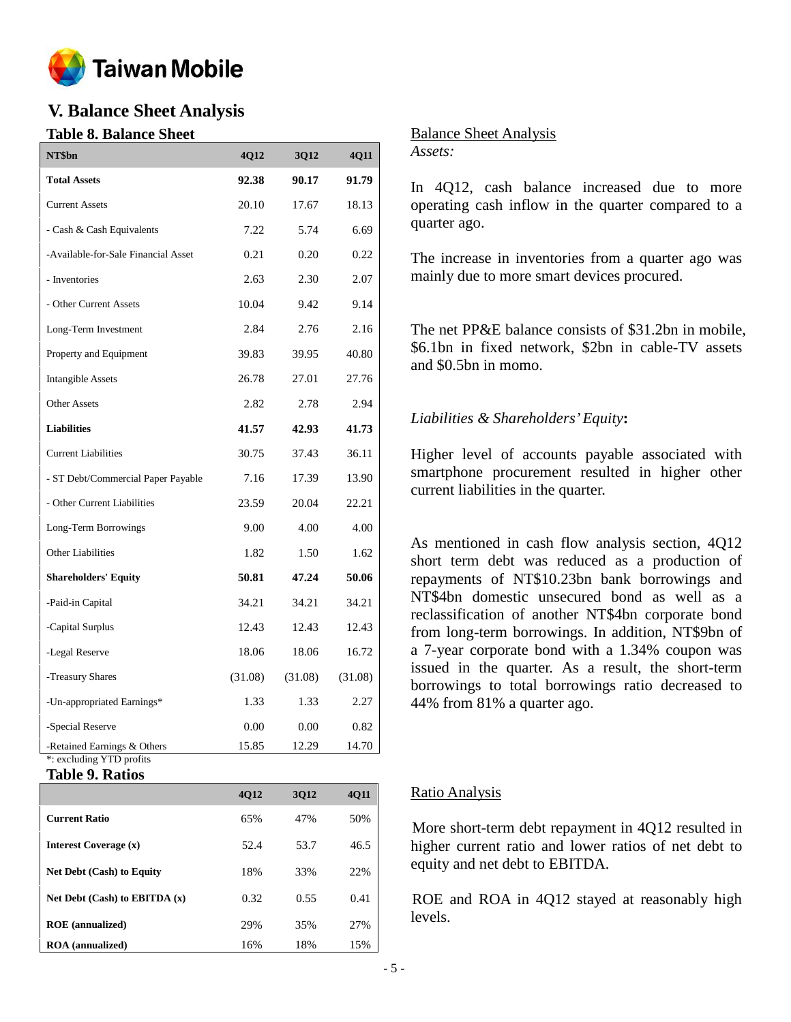

# **V. Balance Sheet Analysis**

# **Table 8. Balance Sheet**

| NT\$bn                                                  | 4Q12    | 3Q12    | <b>4Q11</b> |
|---------------------------------------------------------|---------|---------|-------------|
| <b>Total Assets</b>                                     | 92.38   | 90.17   | 91.79       |
| <b>Current Assets</b>                                   | 20.10   | 17.67   | 18.13       |
| - Cash & Cash Equivalents                               | 7.22    | 5.74    | 6.69        |
| -Available-for-Sale Financial Asset                     | 0.21    | 0.20    | 0.22        |
| - Inventories                                           | 2.63    | 2.30    | 2.07        |
| - Other Current Assets                                  | 10.04   | 9.42    | 9.14        |
| Long-Term Investment                                    | 2.84    | 2.76    | 2.16        |
| Property and Equipment                                  | 39.83   | 39.95   | 40.80       |
| <b>Intangible Assets</b>                                | 26.78   | 27.01   | 27.76       |
| <b>Other Assets</b>                                     | 2.82    | 2.78    | 2.94        |
| <b>Liabilities</b>                                      | 41.57   | 42.93   | 41.73       |
| <b>Current Liabilities</b>                              | 30.75   | 37.43   | 36.11       |
| - ST Debt/Commercial Paper Payable                      | 7.16    | 17.39   | 13.90       |
| - Other Current Liabilities                             | 23.59   | 20.04   | 22.21       |
| Long-Term Borrowings                                    | 9.00    | 4.00    | 4.00        |
| Other Liabilities                                       | 1.82    | 1.50    | 1.62        |
| <b>Shareholders' Equity</b>                             | 50.81   | 47.24   | 50.06       |
| -Paid-in Capital                                        | 34.21   | 34.21   | 34.21       |
| -Capital Surplus                                        | 12.43   | 12.43   | 12.43       |
| -Legal Reserve                                          | 18.06   | 18.06   | 16.72       |
| -Treasury Shares                                        | (31.08) | (31.08) | (31.08)     |
| -Un-appropriated Earnings*                              | 1.33    | 1.33    | 2.27        |
| -Special Reserve                                        | 0.00    | 0.00    | 0.82        |
| -Retained Earnings & Others<br>*: excluding YTD profits | 15.85   | 12.29   | 14.70       |

# **Table 9. Ratios**

|                                   | <b>4012</b> | 3012 | 4Q11 |
|-----------------------------------|-------------|------|------|
| <b>Current Ratio</b>              | 65%         | 47%  | 50%  |
| Interest Coverage (x)             | 52.4        | 53.7 | 46.5 |
| <b>Net Debt (Cash) to Equity</b>  | 18%         | 33%  | 22%  |
| Net Debt $(Cash)$ to EBITDA $(x)$ | 0.32        | 0.55 | 0.41 |
| <b>ROE</b> (annualized)           | 29%         | 35%  | 27%  |
| <b>ROA</b> (annualized)           | 16%         | 18%  | 15%  |

### Balance Sheet Analysis

*Assets:*

In 4Q12, cash balance increased due to more operating cash inflow in the quarter compared to a quarter ago.

The increase in inventories from a quarter ago was mainly due to more smart devices procured.

The net PP&E balance consists of \$31.2bn in mobile, \$6.1bn in fixed network, \$2bn in cable-TV assets and \$0.5bn in momo.

# *Liabilities & Shareholders'Equity***:**

Higher level of accounts payable associated with smartphone procurement resulted in higher other current liabilities in the quarter.

As mentioned in cash flow analysis section, 4Q12 short term debt was reduced as a production of repayments of NT\$10.23bn bank borrowings and NT\$4bn domestic unsecured bond as well as a reclassification of another NT\$4bn corporate bond from long-term borrowings. In addition, NT\$9bn of a 7-year corporate bond with a 1.34% coupon was issued in the quarter. As a result, the short-term borrowings to total borrowings ratio decreased to 44% from 81% a quarter ago.

# Ratio Analysis

More short-term debt repayment in 4Q12 resulted in higher current ratio and lower ratios of net debt to equity and net debt to EBITDA.

ROE and ROA in 4Q12 stayed at reasonably high levels.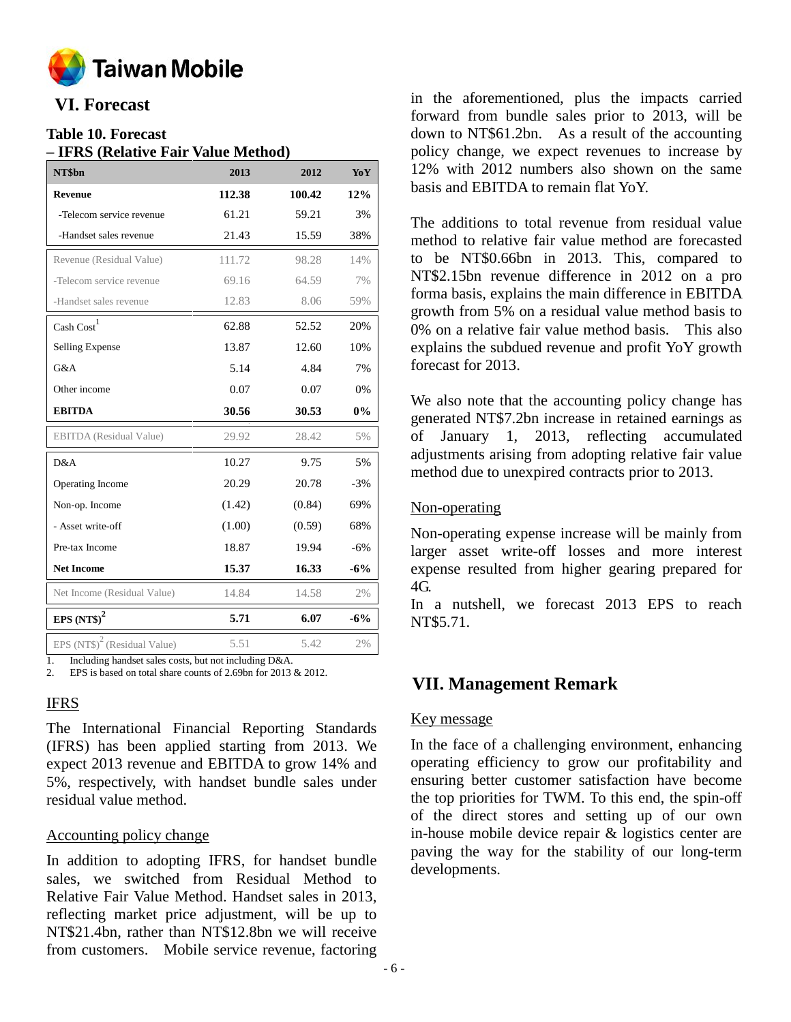

# **VI. Forecast**

# **Table 10. Forecast**

| NT\$bn                                   | 2013   | 2012   | YoY   |
|------------------------------------------|--------|--------|-------|
| <b>Revenue</b>                           | 112.38 | 100.42 | 12%   |
| -Telecom service revenue                 | 61.21  | 59.21  | 3%    |
| -Handset sales revenue                   | 21.43  | 15.59  | 38%   |
| Revenue (Residual Value)                 | 111.72 | 98.28  | 14%   |
| -Telecom service revenue                 | 69.16  | 64.59  | 7%    |
| -Handset sales revenue                   | 12.83  | 8.06   | 59%   |
| Cash Cost <sup>1</sup>                   | 62.88  | 52.52  | 20%   |
| <b>Selling Expense</b>                   | 13.87  | 12.60  | 10%   |
| G&A                                      | 5.14   | 4.84   | 7%    |
| Other income                             | 0.07   | 0.07   | 0%    |
| <b>EBITDA</b>                            | 30.56  | 30.53  | 0%    |
| <b>EBITDA</b> (Residual Value)           | 29.92  | 28.42  | 5%    |
| D&A                                      | 10.27  | 9.75   | 5%    |
| Operating Income                         | 20.29  | 20.78  | $-3%$ |
| Non-op. Income                           | (1.42) | (0.84) | 69%   |
| - Asset write-off                        | (1.00) | (0.59) | 68%   |
| Pre-tax Income                           | 18.87  | 19.94  | $-6%$ |
| <b>Net Income</b>                        | 15.37  | 16.33  | $-6%$ |
| Net Income (Residual Value)              | 14.84  | 14.58  | 2%    |
| EPS $(NT\$ <sup>2</sup>                  | 5.71   | 6.07   | $-6%$ |
| EPS $(NT\$ <sup>2</sup> (Residual Value) | 5.51   | 5.42   | 2%    |

2. EPS is based on total share counts of 2.69bn for 2013 & 2012.

# IFRS

The International Financial Reporting Standards (IFRS) has been applied starting from 2013. We expect 2013 revenue and EBITDA to grow 14% and 5%, respectively, with handset bundle sales under residual value method.

#### Accounting policy change

In addition to adopting IFRS, for handset bundle sales, we switched from Residual Method to Relative Fair Value Method. Handset sales in 2013, reflecting market price adjustment, will be up to NT\$21.4bn, rather than NT\$12.8bn we will receive from customers. Mobile service revenue, factoring

in the aforementioned, plus the impacts carried forward from bundle sales prior to 2013, will be down to NT\$61.2bn. As a result of the accounting policy change, we expect revenues to increase by 12% with 2012 numbers also shown on the same basis and EBITDA to remain flat YoY.

The additions to total revenue from residual value method to relative fair value method are forecasted to be NT\$0.66bn in 2013. This, compared to NT\$2.15bn revenue difference in 2012 on a pro forma basis, explains the main difference in EBITDA growth from 5% on a residual value method basis to 0% on a relative fair value method basis. This also explains the subdued revenue and profit YoY growth forecast for 2013.

We also note that the accounting policy change has generated NT\$7.2bn increase in retained earnings as of January 1, 2013, reflecting accumulated adjustments arising from adopting relative fair value method due to unexpired contracts prior to 2013.

# Non-operating

Non-operating expense increase will be mainly from larger asset write-off losses and more interest expense resulted from higher gearing prepared for  $4G$ 

In a nutshell, we forecast 2013 EPS to reach NT\$5.71.

# **VII. Management Remark**

# Key message

In the face of a challenging environment, enhancing operating efficiency to grow our profitability and ensuring better customer satisfaction have become the top priorities for TWM. To this end, the spin-off of the direct stores and setting up of our own in-house mobile device repair & logistics center are paving the way for the stability of our long-term developments.